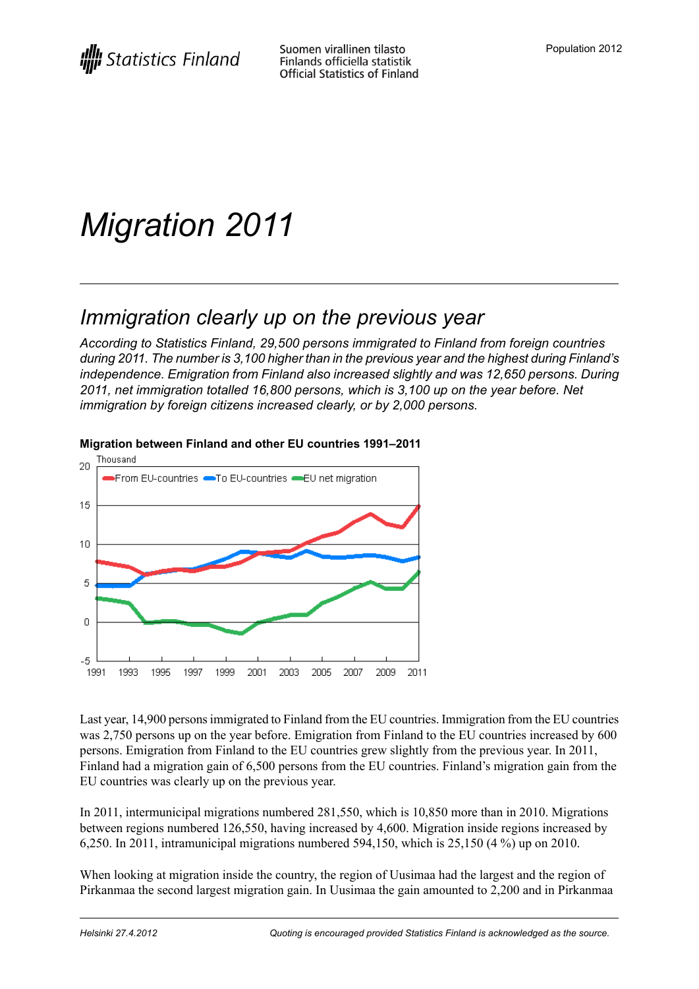# *Migration 2011*

## *Immigration clearly up on the previous year*

*According to Statistics Finland, 29,500 persons immigrated to Finland from foreign countries during 2011. The number is 3,100 higher than in the previous year and the highest during Finland's independence. Emigration from Finland also increased slightly and was 12,650 persons. During 2011, net immigration totalled 16,800 persons, which is 3,100 up on the year before. Net immigration by foreign citizens increased clearly, or by 2,000 persons.*



#### **Migration between Finland and other EU countries 1991–2011**

Last year, 14,900 personsimmigrated to Finland from the EU countries. Immigration from the EU countries was 2,750 persons up on the year before. Emigration from Finland to the EU countries increased by 600 persons. Emigration from Finland to the EU countries grew slightly from the previous year. In 2011, Finland had a migration gain of 6,500 persons from the EU countries. Finland's migration gain from the EU countries was clearly up on the previous year.

In 2011, intermunicipal migrations numbered 281,550, which is 10,850 more than in 2010. Migrations between regions numbered 126,550, having increased by 4,600. Migration inside regions increased by 6,250. In 2011, intramunicipal migrations numbered 594,150, which is 25,150 (4 %) up on 2010.

When looking at migration inside the country, the region of Uusimaa had the largest and the region of Pirkanmaa the second largest migration gain. In Uusimaa the gain amounted to 2,200 and in Pirkanmaa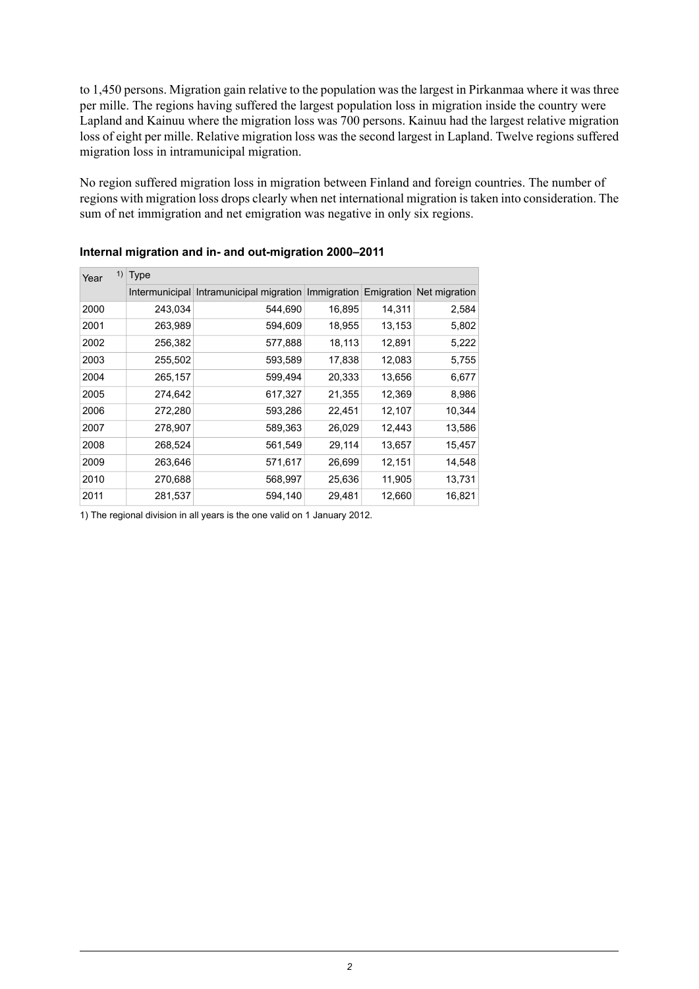to 1,450 persons. Migration gain relative to the population was the largest in Pirkanmaa where it was three per mille. The regions having suffered the largest population loss in migration inside the country were Lapland and Kainuu where the migration loss was 700 persons. Kainuu had the largest relative migration loss of eight per mille. Relative migration loss was the second largest in Lapland. Twelve regions suffered migration loss in intramunicipal migration.

No region suffered migration loss in migration between Finland and foreign countries. The number of regions with migration loss drops clearly when net international migration is taken into consideration. The sum of net immigration and net emigration was negative in only six regions.

| 1)<br>Year | <b>Type</b> |                                                     |        |            |               |  |
|------------|-------------|-----------------------------------------------------|--------|------------|---------------|--|
|            |             | Intermunicipal Intramunicipal migration Immigration |        | Emigration | Net migration |  |
| 2000       | 243,034     | 544,690                                             | 16,895 | 14,311     | 2,584         |  |
| 2001       | 263,989     | 594,609                                             | 18,955 | 13,153     | 5,802         |  |
| 2002       | 256,382     | 577,888                                             | 18,113 | 12,891     | 5,222         |  |
| 2003       | 255,502     | 593,589                                             | 17,838 | 12,083     | 5,755         |  |
| 2004       | 265,157     | 599,494                                             | 20,333 | 13,656     | 6,677         |  |
| 2005       | 274,642     | 617,327                                             | 21,355 | 12,369     | 8,986         |  |
| 2006       | 272,280     | 593,286                                             | 22,451 | 12,107     | 10,344        |  |
| 2007       | 278,907     | 589,363                                             | 26,029 | 12,443     | 13,586        |  |
| 2008       | 268,524     | 561,549                                             | 29,114 | 13,657     | 15,457        |  |
| 2009       | 263,646     | 571,617                                             | 26,699 | 12,151     | 14,548        |  |
| 2010       | 270,688     | 568,997                                             | 25,636 | 11,905     | 13,731        |  |
| 2011       | 281,537     | 594,140                                             | 29,481 | 12,660     | 16,821        |  |

#### **Internal migration and in- and out-migration 2000–2011**

1) The regional division in all years is the one valid on 1 January 2012.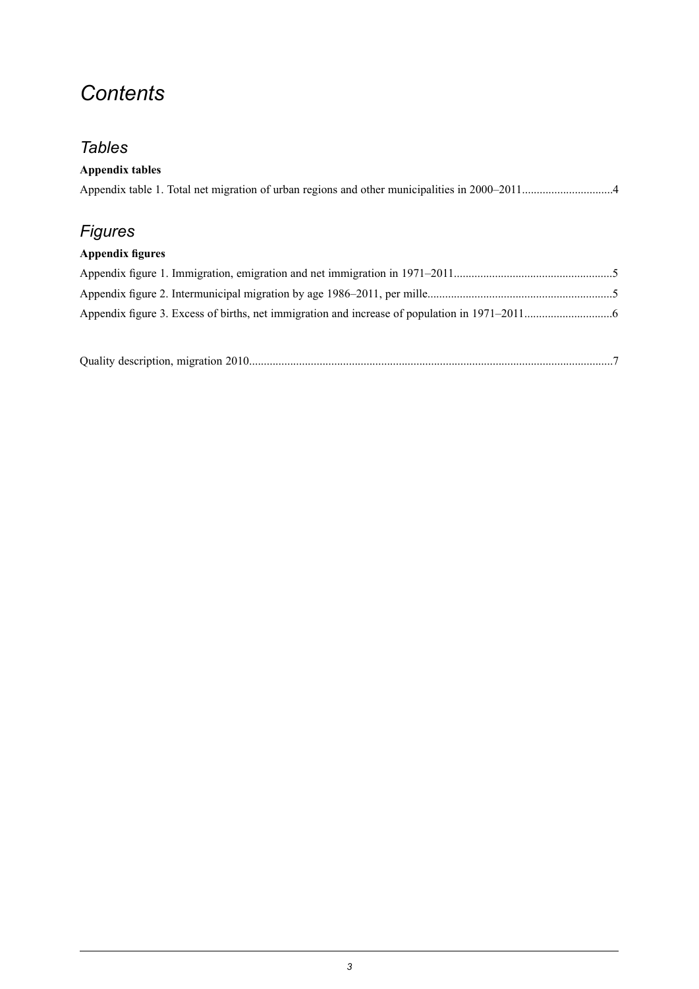## *Contents*

## *Tables*

| <b>Appendix tables</b>  |  |
|-------------------------|--|
|                         |  |
|                         |  |
| <b>Figures</b>          |  |
| <b>Appendix figures</b> |  |
|                         |  |
|                         |  |
|                         |  |
|                         |  |
|                         |  |

|--|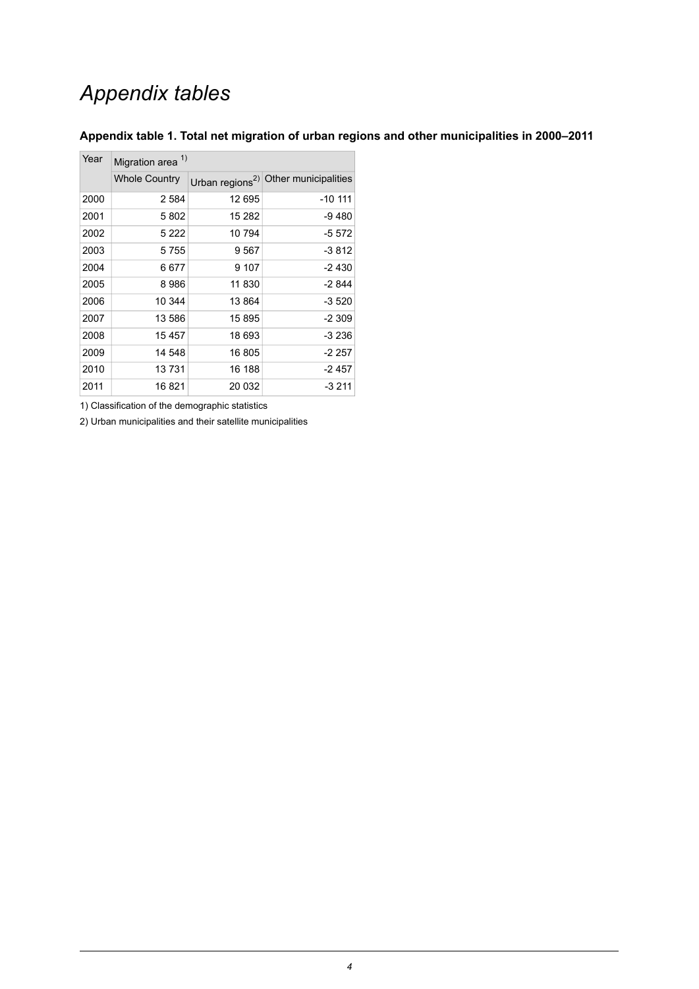## *Appendix tables*

| Year | Migration area <sup>1)</sup> |        |                                                  |  |  |  |
|------|------------------------------|--------|--------------------------------------------------|--|--|--|
|      | <b>Whole Country</b>         |        | Urban regions <sup>2)</sup> Other municipalities |  |  |  |
| 2000 | 2 5 8 4                      | 12 695 | $-10$ 111                                        |  |  |  |
| 2001 | 5802                         | 15 282 | -9480                                            |  |  |  |
| 2002 | 5 2 2 2                      | 10794  | -5 572                                           |  |  |  |
| 2003 | 5755                         | 9567   | $-3812$                                          |  |  |  |
| 2004 | 6677                         | 9 107  | $-2430$                                          |  |  |  |
| 2005 | 8986                         | 11 830 | $-2844$                                          |  |  |  |
| 2006 | 10 344                       | 13864  | $-3520$                                          |  |  |  |
| 2007 | 13 586                       | 15895  | $-2309$                                          |  |  |  |
| 2008 | 15 457                       | 18 693 | $-3236$                                          |  |  |  |
| 2009 | 14 548                       | 16805  | $-2257$                                          |  |  |  |
| 2010 | 13731                        | 16 188 | $-2457$                                          |  |  |  |
| 2011 | 16 821                       | 20 032 | $-3211$                                          |  |  |  |

#### <span id="page-3-0"></span>**Appendix table 1. Total net migration of urban regions and other municipalities in 2000–2011**

1) Classification of the demographic statistics

2) Urban municipalities and their satellite municipalities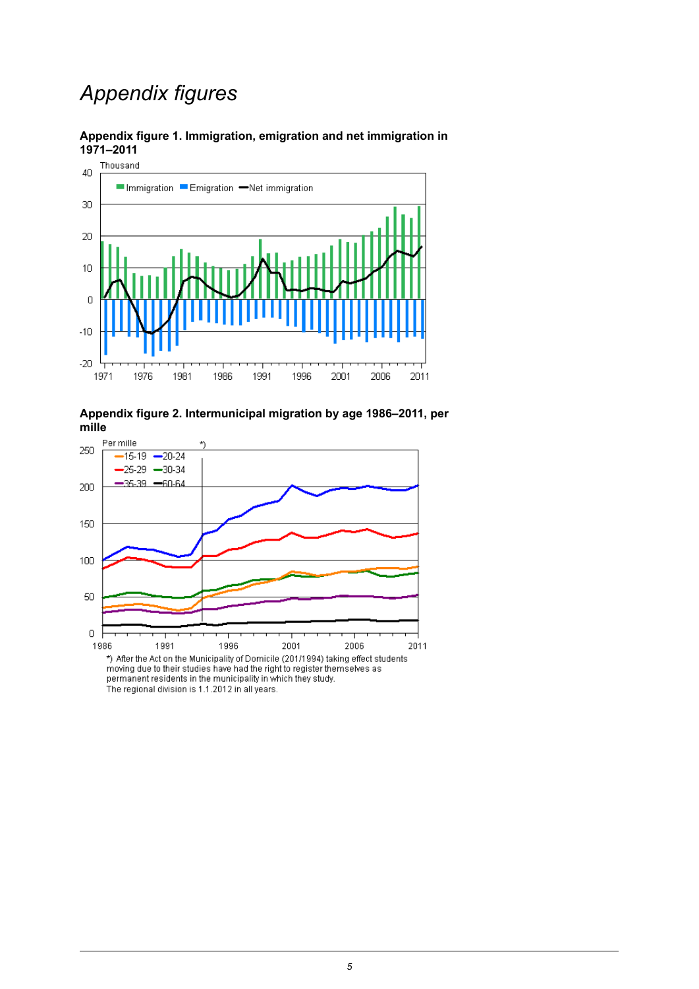## *Appendix figures*



#### <span id="page-4-0"></span>**Appendix figure 1. Immigration, emigration and net immigration in 1971–2011**

<span id="page-4-1"></span>

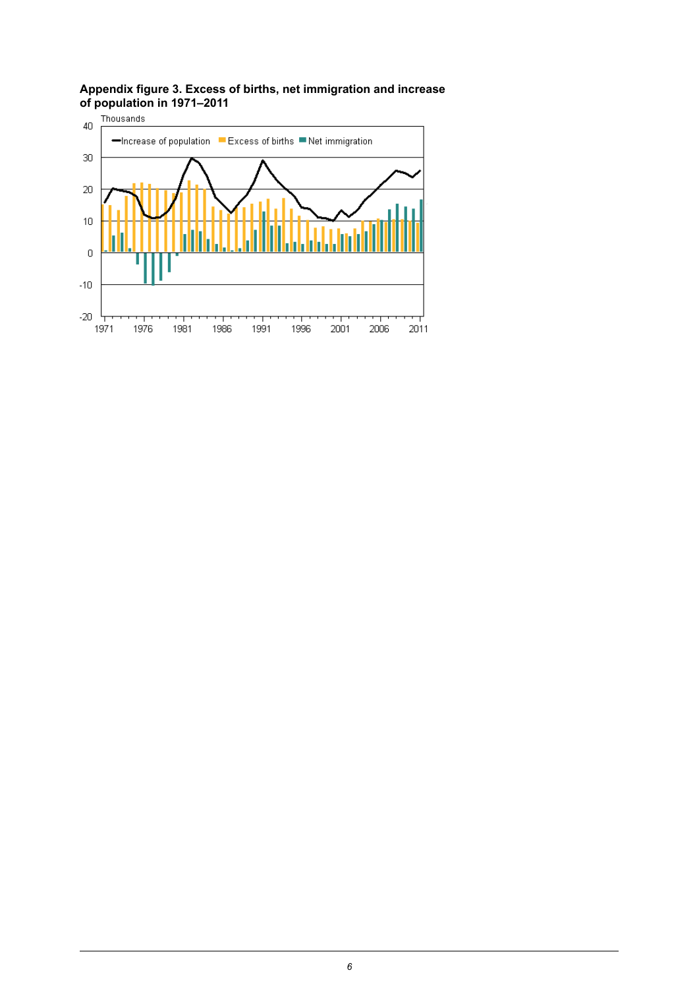## <span id="page-5-0"></span>**Appendix figure 3. Excess of births, net immigration and increase of population in 1971–2011**

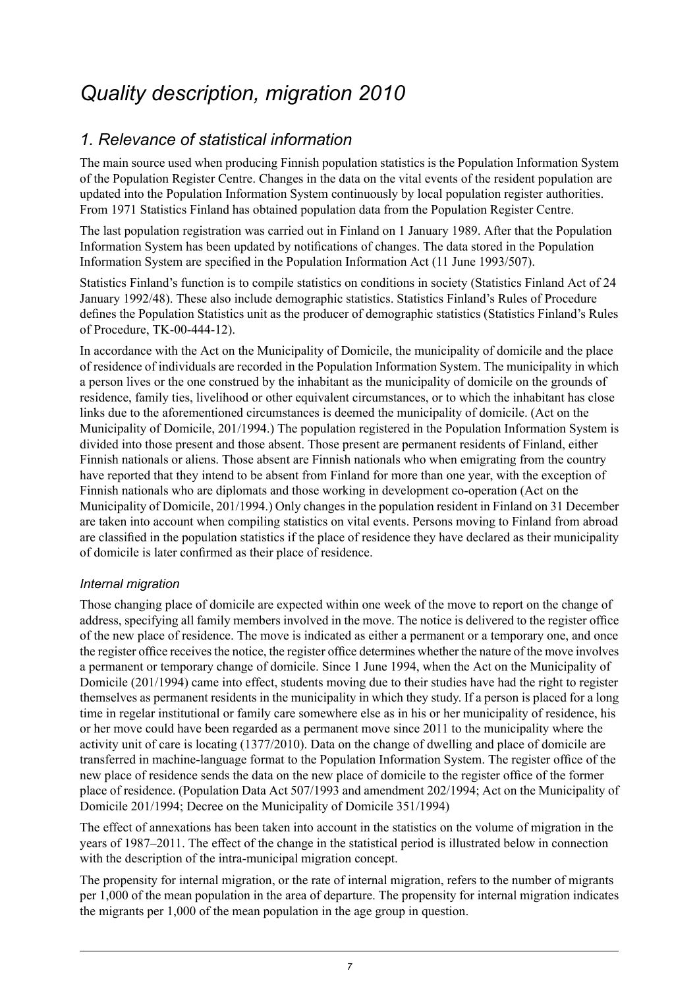## <span id="page-6-0"></span>*Quality description, migration 2010*

### *1. Relevance of statistical information*

The main source used when producing Finnish population statistics is the Population Information System of the Population Register Centre. Changes in the data on the vital events of the resident population are updated into the Population Information System continuously by local population register authorities. From 1971 Statistics Finland has obtained population data from the Population Register Centre.

The last population registration was carried out in Finland on 1 January 1989. After that the Population Information System has been updated by notifications of changes. The data stored in the Population Information System are specified in the Population Information Act (11 June 1993/507).

Statistics Finland's function is to compile statistics on conditions in society (Statistics Finland Act of 24 January 1992/48). These also include demographic statistics. Statistics Finland's Rules of Procedure defines the Population Statistics unit as the producer of demographic statistics (Statistics Finland's Rules of Procedure, TK-00-444-12).

In accordance with the Act on the Municipality of Domicile, the municipality of domicile and the place of residence of individuals are recorded in the Population Information System. The municipality in which a person lives or the one construed by the inhabitant as the municipality of domicile on the grounds of residence, family ties, livelihood or other equivalent circumstances, or to which the inhabitant has close links due to the aforementioned circumstances is deemed the municipality of domicile. (Act on the Municipality of Domicile, 201/1994.) The population registered in the Population Information System is divided into those present and those absent. Those present are permanent residents of Finland, either Finnish nationals or aliens. Those absent are Finnish nationals who when emigrating from the country have reported that they intend to be absent from Finland for more than one year, with the exception of Finnish nationals who are diplomats and those working in development co-operation (Act on the Municipality of Domicile, 201/1994.) Only changes in the population resident in Finland on 31 December are taken into account when compiling statistics on vital events. Persons moving to Finland from abroad are classified in the population statistics if the place of residence they have declared as their municipality of domicile is later confirmed as their place of residence.

#### *Internal migration*

Those changing place of domicile are expected within one week of the move to report on the change of address, specifying all family members involved in the move. The notice is delivered to the register office of the new place of residence. The move is indicated as either a permanent or a temporary one, and once the register office receives the notice, the register office determines whether the nature of the move involves a permanent or temporary change of domicile. Since 1 June 1994, when the Act on the Municipality of Domicile (201/1994) came into effect, students moving due to their studies have had the right to register themselves as permanent residents in the municipality in which they study. If a person is placed for a long time in regelar institutional or family care somewhere else as in his or her municipality of residence, his or her move could have been regarded as a permanent move since 2011 to the municipality where the activity unit of care is locating (1377/2010). Data on the change of dwelling and place of domicile are transferred in machine-language format to the Population Information System. The register office of the new place of residence sends the data on the new place of domicile to the register office of the former place of residence. (Population Data Act 507/1993 and amendment 202/1994; Act on the Municipality of Domicile 201/1994; Decree on the Municipality of Domicile 351/1994)

The effect of annexations has been taken into account in the statistics on the volume of migration in the years of 1987–2011. The effect of the change in the statistical period is illustrated below in connection with the description of the intra-municipal migration concept.

The propensity for internal migration, or the rate of internal migration, refers to the number of migrants per 1,000 of the mean population in the area of departure. The propensity for internal migration indicates the migrants per 1,000 of the mean population in the age group in question.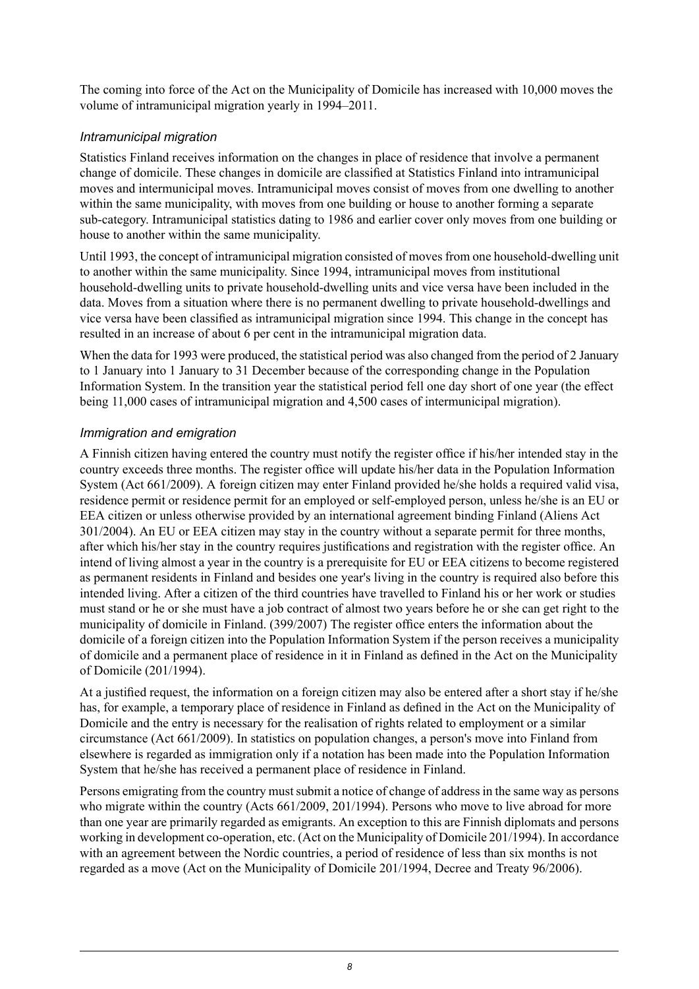The coming into force of the Act on the Municipality of Domicile has increased with 10,000 moves the volume of intramunicipal migration yearly in 1994–2011.

#### *Intramunicipal migration*

Statistics Finland receives information on the changes in place of residence that involve a permanent change of domicile. These changes in domicile are classified at Statistics Finland into intramunicipal moves and intermunicipal moves. Intramunicipal moves consist of moves from one dwelling to another within the same municipality, with moves from one building or house to another forming a separate sub-category. Intramunicipal statistics dating to 1986 and earlier cover only moves from one building or house to another within the same municipality.

Until 1993, the concept of intramunicipal migration consisted of moves from one household-dwelling unit to another within the same municipality. Since 1994, intramunicipal moves from institutional household-dwelling units to private household-dwelling units and vice versa have been included in the data. Moves from a situation where there is no permanent dwelling to private household-dwellings and vice versa have been classified as intramunicipal migration since 1994. This change in the concept has resulted in an increase of about 6 per cent in the intramunicipal migration data.

When the data for 1993 were produced, the statistical period was also changed from the period of 2 January to 1 January into 1 January to 31 December because of the corresponding change in the Population Information System. In the transition year the statistical period fell one day short of one year (the effect being 11,000 cases of intramunicipal migration and 4,500 cases of intermunicipal migration).

#### *Immigration and emigration*

A Finnish citizen having entered the country must notify the register office if his/her intended stay in the country exceeds three months. The register office will update his/her data in the Population Information System (Act 661/2009). A foreign citizen may enter Finland provided he/she holds a required valid visa, residence permit or residence permit for an employed or self-employed person, unless he/she is an EU or EEA citizen or unless otherwise provided by an international agreement binding Finland (Aliens Act 301/2004). An EU or EEA citizen may stay in the country without a separate permit for three months, after which his/her stay in the country requires justifications and registration with the register office. An intend of living almost a year in the country is a prerequisite for EU or EEA citizens to become registered as permanent residents in Finland and besides one year's living in the country is required also before this intended living. After a citizen of the third countries have travelled to Finland his or her work or studies must stand or he or she must have a job contract of almost two years before he or she can get right to the municipality of domicile in Finland. (399/2007) The register office enters the information about the domicile of a foreign citizen into the Population Information System if the person receives a municipality of domicile and a permanent place of residence in it in Finland as defined in the Act on the Municipality of Domicile (201/1994).

At a justified request, the information on a foreign citizen may also be entered after a short stay if he/she has, for example, a temporary place of residence in Finland as defined in the Act on the Municipality of Domicile and the entry is necessary for the realisation of rights related to employment or a similar circumstance (Act 661/2009). In statistics on population changes, a person's move into Finland from elsewhere is regarded as immigration only if a notation has been made into the Population Information System that he/she has received a permanent place of residence in Finland.

Persons emigrating from the country must submit a notice of change of address in the same way as persons who migrate within the country (Acts 661/2009, 201/1994). Persons who move to live abroad for more than one year are primarily regarded as emigrants. An exception to this are Finnish diplomats and persons working in development co-operation, etc. (Act on the Municipality of Domicile 201/1994). In accordance with an agreement between the Nordic countries, a period of residence of less than six months is not regarded as a move (Act on the Municipality of Domicile 201/1994, Decree and Treaty 96/2006).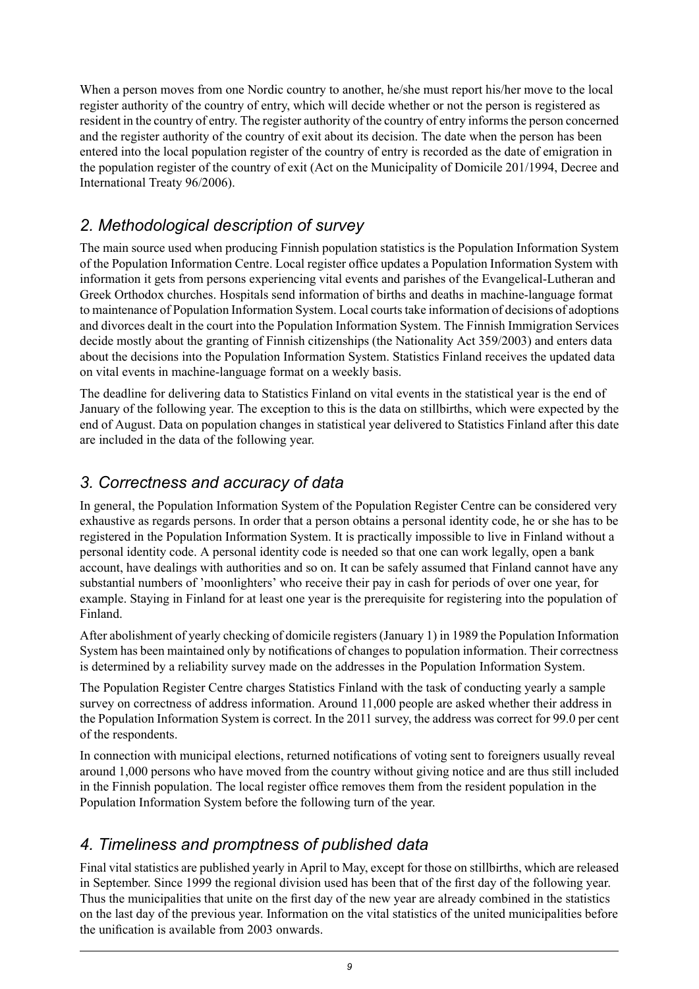When a person moves from one Nordic country to another, he/she must report his/her move to the local register authority of the country of entry, which will decide whether or not the person is registered as resident in the country of entry. The register authority of the country of entry informs the person concerned and the register authority of the country of exit about its decision. The date when the person has been entered into the local population register of the country of entry is recorded as the date of emigration in the population register of the country of exit (Act on the Municipality of Domicile 201/1994, Decree and International Treaty 96/2006).

#### *2. Methodological description of survey*

The main source used when producing Finnish population statistics is the Population Information System of the Population Information Centre. Local register office updates a Population Information System with information it gets from persons experiencing vital events and parishes of the Evangelical-Lutheran and Greek Orthodox churches. Hospitals send information of births and deaths in machine-language format to maintenance of Population Information System. Local courtstake information of decisions of adoptions and divorces dealt in the court into the Population Information System. The Finnish Immigration Services decide mostly about the granting of Finnish citizenships (the Nationality Act 359/2003) and enters data about the decisions into the Population Information System. Statistics Finland receives the updated data on vital events in machine-language format on a weekly basis.

The deadline for delivering data to Statistics Finland on vital events in the statistical year is the end of January of the following year. The exception to this is the data on stillbirths, which were expected by the end of August. Data on population changes in statistical year delivered to Statistics Finland after this date are included in the data of the following year.

#### *3. Correctness and accuracy of data*

In general, the Population Information System of the Population Register Centre can be considered very exhaustive as regards persons. In order that a person obtains a personal identity code, he or she has to be registered in the Population Information System. It is practically impossible to live in Finland without a personal identity code. A personal identity code is needed so that one can work legally, open a bank account, have dealings with authorities and so on. It can be safely assumed that Finland cannot have any substantial numbers of 'moonlighters' who receive their pay in cash for periods of over one year, for example. Staying in Finland for at least one year is the prerequisite for registering into the population of Finland.

After abolishment of yearly checking of domicile registers (January 1) in 1989 the Population Information System has been maintained only by notifications of changes to population information. Their correctness is determined by a reliability survey made on the addresses in the Population Information System.

The Population Register Centre charges Statistics Finland with the task of conducting yearly a sample survey on correctness of address information. Around 11,000 people are asked whether their address in the Population Information System is correct. In the 2011 survey, the address was correct for 99.0 per cent of the respondents.

In connection with municipal elections, returned notifications of voting sent to foreigners usually reveal around 1,000 persons who have moved from the country without giving notice and are thus still included in the Finnish population. The local register office removes them from the resident population in the Population Information System before the following turn of the year.

### *4. Timeliness and promptness of published data*

Final vital statistics are published yearly in April to May, except for those on stillbirths, which are released in September. Since 1999 the regional division used has been that of the first day of the following year. Thus the municipalities that unite on the first day of the new year are already combined in the statistics on the last day of the previous year. Information on the vital statistics of the united municipalities before the unification is available from 2003 onwards.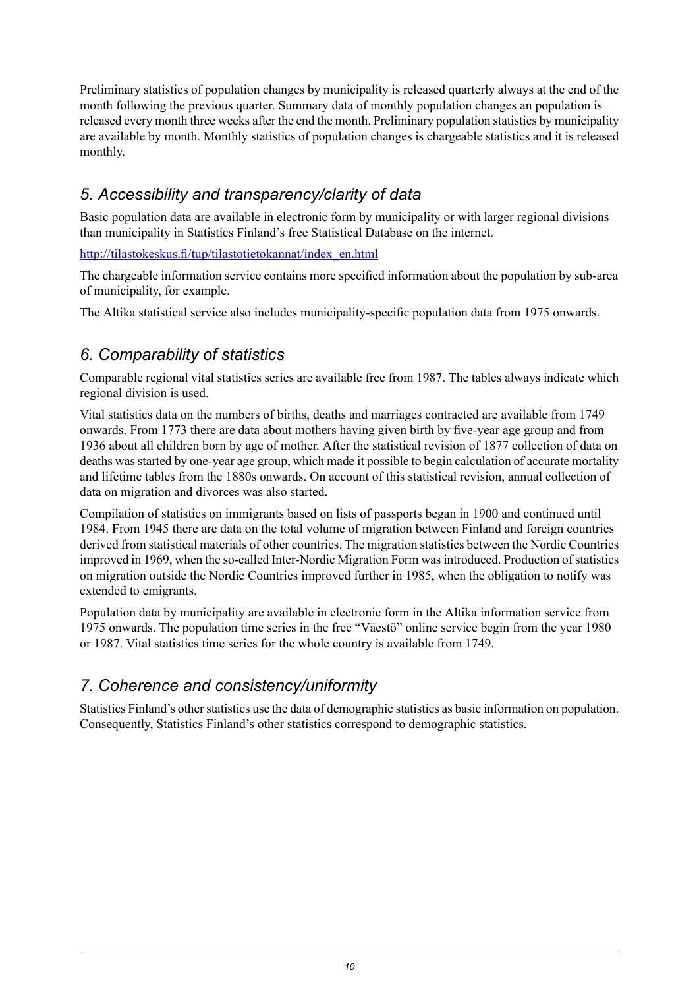Preliminary statistics of population changes by municipality is released quarterly always at the end of the month following the previous quarter. Summary data of monthly population changes an population is released every month three weeks after the end the month. Preliminary population statistics by municipality are available by month. Monthly statistics of population changes is chargeable statistics and it is released monthly.

#### *5. Accessibility and transparency/clarity of data*

Basic population data are available in electronic form by municipality or with larger regional divisions than municipality in Statistics Finland's free Statistical Database on the internet.

[http://tilastokeskus.fi/tup/tilastotietokannat/index\\_en.html](http://tilastokeskus.fi/tup/tilastotietokannat/index_en.html)

The chargeable information service contains more specified information about the population by sub-area of municipality, for example.

The Altika statistical service also includes municipality-specific population data from 1975 onwards.

### *6. Comparability of statistics*

Comparable regional vital statistics series are available free from 1987. The tables always indicate which regional division is used.

Vital statistics data on the numbers of births, deaths and marriages contracted are available from 1749 onwards. From 1773 there are data about mothers having given birth by five-year age group and from 1936 about all children born by age of mother. After the statistical revision of 1877 collection of data on deaths was started by one-year age group, which made it possible to begin calculation of accurate mortality and lifetime tables from the 1880s onwards. On account of this statistical revision, annual collection of data on migration and divorces was also started.

Compilation of statistics on immigrants based on lists of passports began in 1900 and continued until 1984. From 1945 there are data on the total volume of migration between Finland and foreign countries derived from statistical materials of other countries. The migration statistics between the Nordic Countries improved in 1969, when the so-called Inter-Nordic Migration Form wasintroduced. Production ofstatistics on migration outside the Nordic Countries improved further in 1985, when the obligation to notify was extended to emigrants.

Population data by municipality are available in electronic form in the Altika information service from 1975 onwards. The population time series in the free "Väestö" online service begin from the year 1980 or 1987. Vital statistics time series for the whole country is available from 1749.

### *7. Coherence and consistency/uniformity*

Statistics Finland's other statistics use the data of demographic statistics as basic information on population. Consequently, Statistics Finland's other statistics correspond to demographic statistics.